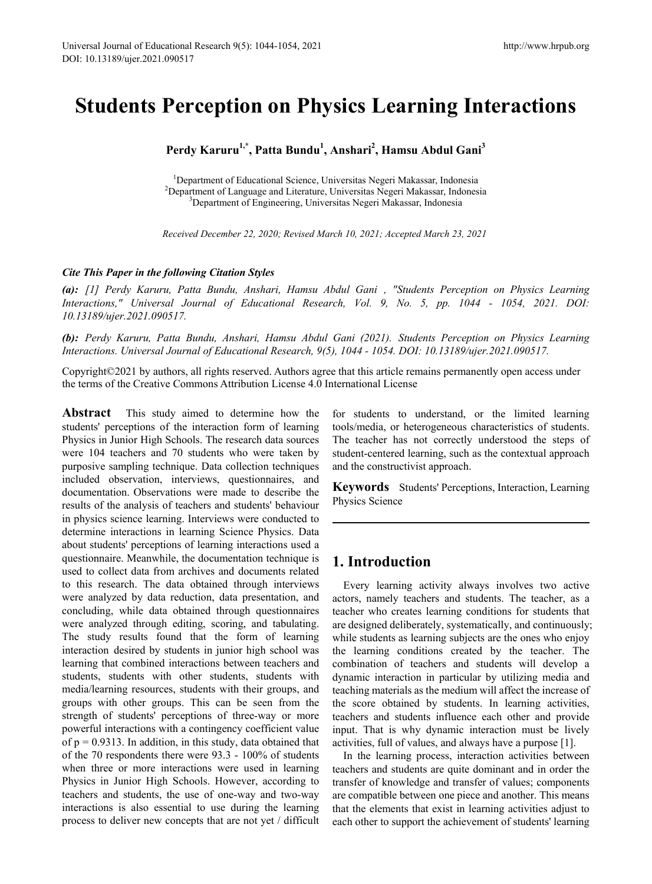# **Students Perception on Physics Learning Interactions**

# **Perdy Karuru1,\*, Patta Bundu1 , Anshari<sup>2</sup> , Hamsu Abdul Gani<sup>3</sup>**

<sup>1</sup>Department of Educational Science, Universitas Negeri Makassar, Indonesia <sup>1</sup> Department of Educational Science, Universitas Negeri Makassar, Indonesia<br><sup>2</sup> Department of Language and Literature, Universitas Negeri Makassar, Indones Department of Language and Literature, Universitas Negeri Makassar, Indonesia<br><sup>3</sup>Department of Engineering, Universites Negeri Makassar, Indonesia <sup>3</sup>Department of Engineering, Universitas Negeri Makassar, Indonesia

*Received December 22, 2020; Revised March 10, 2021; Accepted March 23, 2021*

## *Cite This Paper in the following Citation Styles*

*(a): [1] Perdy Karuru, Patta Bundu, Anshari, Hamsu Abdul Gani , "Students Perception on Physics Learning Interactions," Universal Journal of Educational Research, Vol. 9, No. 5, pp. 1044 - 1054, 2021. DOI: 10.13189/ujer.2021.090517.* 

*(b): Perdy Karuru, Patta Bundu, Anshari, Hamsu Abdul Gani (2021). Students Perception on Physics Learning Interactions. Universal Journal of Educational Research, 9(5), 1044 - 1054. DOI: 10.13189/ujer.2021.090517.* 

Copyright©2021 by authors, all rights reserved. Authors agree that this article remains permanently open access under the terms of the Creative Commons Attribution License 4.0 International License

**Abstract** This study aimed to determine how the students' perceptions of the interaction form of learning Physics in Junior High Schools. The research data sources were 104 teachers and 70 students who were taken by purposive sampling technique. Data collection techniques included observation, interviews, questionnaires, and documentation. Observations were made to describe the results of the analysis of teachers and students' behaviour in physics science learning. Interviews were conducted to determine interactions in learning Science Physics. Data about students' perceptions of learning interactions used a questionnaire. Meanwhile, the documentation technique is used to collect data from archives and documents related to this research. The data obtained through interviews were analyzed by data reduction, data presentation, and concluding, while data obtained through questionnaires were analyzed through editing, scoring, and tabulating. The study results found that the form of learning interaction desired by students in junior high school was learning that combined interactions between teachers and students, students with other students, students with media/learning resources, students with their groups, and groups with other groups. This can be seen from the strength of students' perceptions of three-way or more powerful interactions with a contingency coefficient value of  $p = 0.9313$ . In addition, in this study, data obtained that of the 70 respondents there were 93.3 - 100% of students when three or more interactions were used in learning Physics in Junior High Schools. However, according to teachers and students, the use of one-way and two-way interactions is also essential to use during the learning process to deliver new concepts that are not yet / difficult

for students to understand, or the limited learning tools/media, or heterogeneous characteristics of students. The teacher has not correctly understood the steps of student-centered learning, such as the contextual approach and the constructivist approach.

**Keywords** Students' Perceptions, Interaction, Learning Physics Science

# **1. Introduction**

Every learning activity always involves two active actors, namely teachers and students. The teacher, as a teacher who creates learning conditions for students that are designed deliberately, systematically, and continuously; while students as learning subjects are the ones who enjoy the learning conditions created by the teacher. The combination of teachers and students will develop a dynamic interaction in particular by utilizing media and teaching materials as the medium will affect the increase of the score obtained by students. In learning activities, teachers and students influence each other and provide input. That is why dynamic interaction must be lively activities, full of values, and always have a purpose [1].

In the learning process, interaction activities between teachers and students are quite dominant and in order the transfer of knowledge and transfer of values; components are compatible between one piece and another. This means that the elements that exist in learning activities adjust to each other to support the achievement of students' learning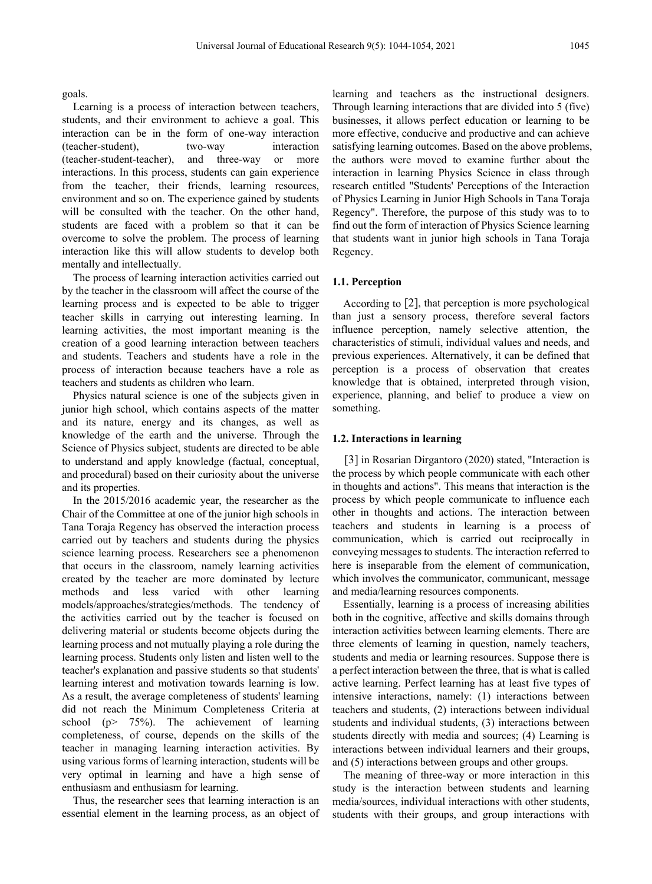goals.

Learning is a process of interaction between teachers, students, and their environment to achieve a goal. This interaction can be in the form of one-way interaction (teacher-student), two-way interaction<br>(teacher-student-teacher), and three-way or more (teacher-student-teacher), and three-way or more interactions. In this process, students can gain experience from the teacher, their friends, learning resources, environment and so on. The experience gained by students will be consulted with the teacher. On the other hand, students are faced with a problem so that it can be overcome to solve the problem. The process of learning interaction like this will allow students to develop both mentally and intellectually.

The process of learning interaction activities carried out by the teacher in the classroom will affect the course of the learning process and is expected to be able to trigger teacher skills in carrying out interesting learning. In learning activities, the most important meaning is the creation of a good learning interaction between teachers and students. Teachers and students have a role in the process of interaction because teachers have a role as teachers and students as children who learn.

Physics natural science is one of the subjects given in junior high school, which contains aspects of the matter and its nature, energy and its changes, as well as knowledge of the earth and the universe. Through the Science of Physics subject, students are directed to be able to understand and apply knowledge (factual, conceptual, and procedural) based on their curiosity about the universe and its properties.

In the 2015/2016 academic year, the researcher as the Chair of the Committee at one of the junior high schools in Tana Toraja Regency has observed the interaction process carried out by teachers and students during the physics science learning process. Researchers see a phenomenon that occurs in the classroom, namely learning activities created by the teacher are more dominated by lecture methods and less varied with other learning models/approaches/strategies/methods. The tendency of the activities carried out by the teacher is focused on delivering material or students become objects during the learning process and not mutually playing a role during the learning process. Students only listen and listen well to the teacher's explanation and passive students so that students' learning interest and motivation towards learning is low. As a result, the average completeness of students' learning did not reach the Minimum Completeness Criteria at school ( $p$  75%). The achievement of learning completeness, of course, depends on the skills of the teacher in managing learning interaction activities. By using various forms of learning interaction, students will be very optimal in learning and have a high sense of enthusiasm and enthusiasm for learning.

Thus, the researcher sees that learning interaction is an essential element in the learning process, as an object of learning and teachers as the instructional designers. Through learning interactions that are divided into 5 (five) businesses, it allows perfect education or learning to be more effective, conducive and productive and can achieve satisfying learning outcomes. Based on the above problems, the authors were moved to examine further about the interaction in learning Physics Science in class through research entitled "Students' Perceptions of the Interaction of Physics Learning in Junior High Schools in Tana Toraja Regency". Therefore, the purpose of this study was to to find out the form of interaction of Physics Science learning that students want in junior high schools in Tana Toraja Regency.

### **1.1. Perception**

According to [2], that perception is more psychological than just a sensory process, therefore several factors influence perception, namely selective attention, the characteristics of stimuli, individual values and needs, and previous experiences. Alternatively, it can be defined that perception is a process of observation that creates knowledge that is obtained, interpreted through vision, experience, planning, and belief to produce a view on something.

#### **1.2. Interactions in learning**

[3] in Rosarian Dirgantoro (2020) stated, "Interaction is the process by which people communicate with each other in thoughts and actions". This means that interaction is the process by which people communicate to influence each other in thoughts and actions. The interaction between teachers and students in learning is a process of communication, which is carried out reciprocally in conveying messages to students. The interaction referred to here is inseparable from the element of communication, which involves the communicator, communicant, message and media/learning resources components.

Essentially, learning is a process of increasing abilities both in the cognitive, affective and skills domains through interaction activities between learning elements. There are three elements of learning in question, namely teachers, students and media or learning resources. Suppose there is a perfect interaction between the three, that is what is called active learning. Perfect learning has at least five types of intensive interactions, namely: (1) interactions between teachers and students, (2) interactions between individual students and individual students, (3) interactions between students directly with media and sources; (4) Learning is interactions between individual learners and their groups, and (5) interactions between groups and other groups.

The meaning of three-way or more interaction in this study is the interaction between students and learning media/sources, individual interactions with other students, students with their groups, and group interactions with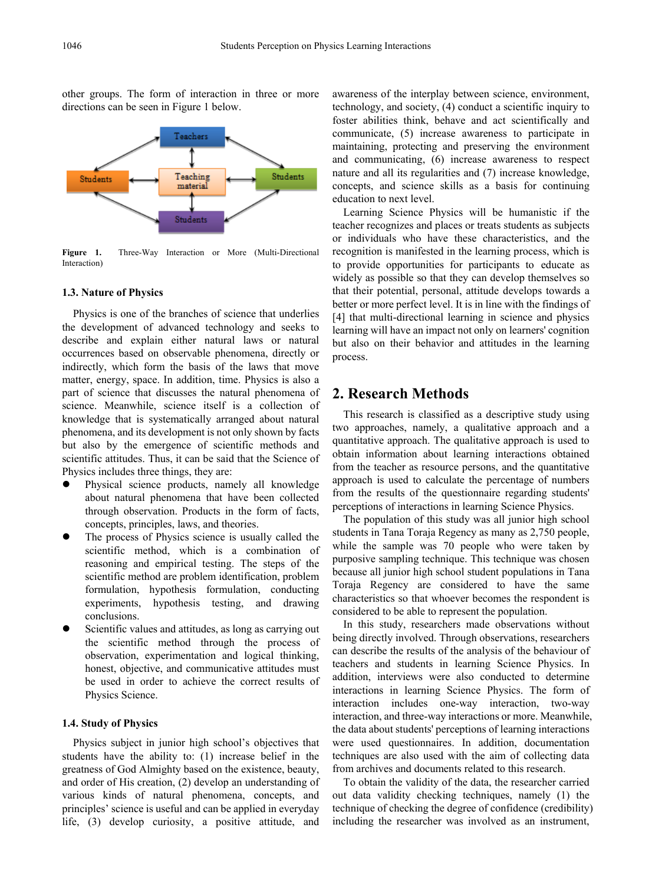

other groups. The form of interaction in three or more directions can be seen in Figure 1 below.

**Figure 1.** Three-Way Interaction or More (Multi-Directional Interaction)

### **1.3. Nature of Physics**

Physics is one of the branches of science that underlies the development of advanced technology and seeks to describe and explain either natural laws or natural occurrences based on observable phenomena, directly or indirectly, which form the basis of the laws that move matter, energy, space. In addition, time. Physics is also a part of science that discusses the natural phenomena of science. Meanwhile, science itself is a collection of knowledge that is systematically arranged about natural phenomena, and its development is not only shown by facts but also by the emergence of scientific methods and scientific attitudes. Thus, it can be said that the Science of Physics includes three things, they are:

- Physical science products, namely all knowledge about natural phenomena that have been collected through observation. Products in the form of facts, concepts, principles, laws, and theories.
- The process of Physics science is usually called the scientific method, which is a combination of reasoning and empirical testing. The steps of the scientific method are problem identification, problem formulation, hypothesis formulation, conducting experiments, hypothesis testing, and drawing conclusions.
- Scientific values and attitudes, as long as carrying out the scientific method through the process of observation, experimentation and logical thinking, honest, objective, and communicative attitudes must be used in order to achieve the correct results of Physics Science.

### **1.4. Study of Physics**

Physics subject in junior high school's objectives that students have the ability to: (1) increase belief in the greatness of God Almighty based on the existence, beauty, and order of His creation, (2) develop an understanding of various kinds of natural phenomena, concepts, and principles' science is useful and can be applied in everyday life, (3) develop curiosity, a positive attitude, and

awareness of the interplay between science, environment, technology, and society, (4) conduct a scientific inquiry to foster abilities think, behave and act scientifically and communicate, (5) increase awareness to participate in maintaining, protecting and preserving the environment and communicating, (6) increase awareness to respect nature and all its regularities and (7) increase knowledge, concepts, and science skills as a basis for continuing education to next level.

Learning Science Physics will be humanistic if the teacher recognizes and places or treats students as subjects or individuals who have these characteristics, and the recognition is manifested in the learning process, which is to provide opportunities for participants to educate as widely as possible so that they can develop themselves so that their potential, personal, attitude develops towards a better or more perfect level. It is in line with the findings of [4] that multi-directional learning in science and physics learning will have an impact not only on learners' cognition but also on their behavior and attitudes in the learning process.

# **2. Research Methods**

This research is classified as a descriptive study using two approaches, namely, a qualitative approach and a quantitative approach. The qualitative approach is used to obtain information about learning interactions obtained from the teacher as resource persons, and the quantitative approach is used to calculate the percentage of numbers from the results of the questionnaire regarding students' perceptions of interactions in learning Science Physics.

The population of this study was all junior high school students in Tana Toraja Regency as many as 2,750 people, while the sample was 70 people who were taken by purposive sampling technique. This technique was chosen because all junior high school student populations in Tana Toraja Regency are considered to have the same characteristics so that whoever becomes the respondent is considered to be able to represent the population.

In this study, researchers made observations without being directly involved. Through observations, researchers can describe the results of the analysis of the behaviour of teachers and students in learning Science Physics. In addition, interviews were also conducted to determine interactions in learning Science Physics. The form of interaction includes one-way interaction, two-way interaction, and three-way interactions or more. Meanwhile, the data about students' perceptions of learning interactions were used questionnaires. In addition, documentation techniques are also used with the aim of collecting data from archives and documents related to this research.

To obtain the validity of the data, the researcher carried out data validity checking techniques, namely (1) the technique of checking the degree of confidence (credibility) including the researcher was involved as an instrument,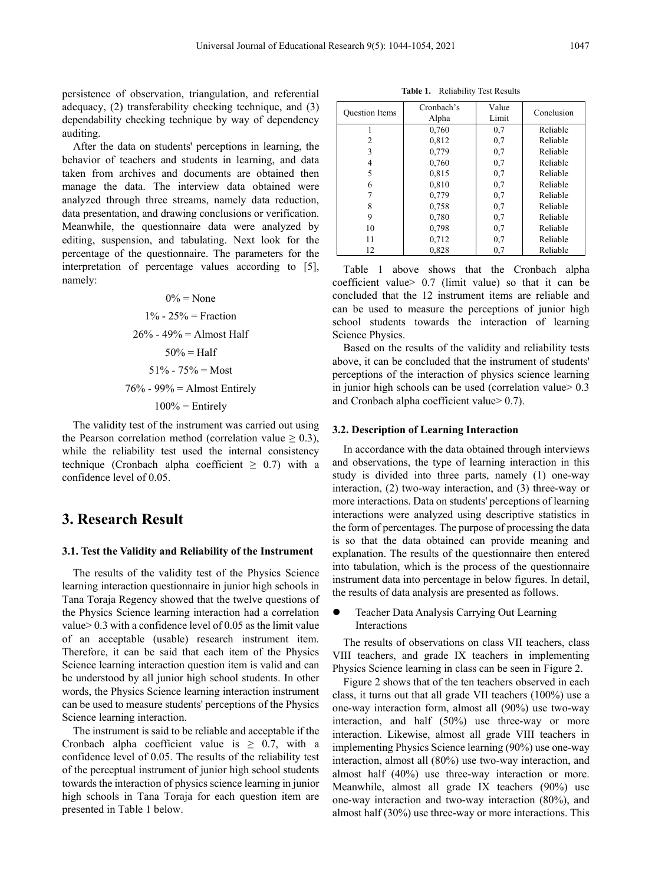persistence of observation, triangulation, and referential adequacy, (2) transferability checking technique, and (3) dependability checking technique by way of dependency auditing.

After the data on students' perceptions in learning, the behavior of teachers and students in learning, and data taken from archives and documents are obtained then manage the data. The interview data obtained were analyzed through three streams, namely data reduction, data presentation, and drawing conclusions or verification. Meanwhile, the questionnaire data were analyzed by editing, suspension, and tabulating. Next look for the percentage of the questionnaire. The parameters for the interpretation of percentage values according to [5], namely:

> $0\%$  = None  $1\% - 25\% =$  Fraction  $26\% - 49\% =$  Almost Half  $50\% = \text{Half}$  $51\% - 75\% = \text{Most}$  $76\%$  - 99% = Almost Entirely

 $100%$  = Entirely

The validity test of the instrument was carried out using the Pearson correlation method (correlation value  $\geq 0.3$ ), while the reliability test used the internal consistency technique (Cronbach alpha coefficient  $\geq$  0.7) with a confidence level of 0.05.

# **3. Research Result**

### **3.1. Test the Validity and Reliability of the Instrument**

The results of the validity test of the Physics Science learning interaction questionnaire in junior high schools in Tana Toraja Regency showed that the twelve questions of the Physics Science learning interaction had a correlation value> 0.3 with a confidence level of 0.05 as the limit value of an acceptable (usable) research instrument item. Therefore, it can be said that each item of the Physics Science learning interaction question item is valid and can be understood by all junior high school students. In other words, the Physics Science learning interaction instrument can be used to measure students' perceptions of the Physics Science learning interaction.

The instrument is said to be reliable and acceptable if the Cronbach alpha coefficient value is  $\geq$  0.7, with a confidence level of 0.05. The results of the reliability test of the perceptual instrument of junior high school students towards the interaction of physics science learning in junior high schools in Tana Toraja for each question item are presented in Table 1 below.

**Table 1.** Reliability Test Results

| <b>Ouestion Items</b> | Cronbach's<br>Alpha | Value<br>Limit | Conclusion |
|-----------------------|---------------------|----------------|------------|
|                       | 0,760               | 0.7            | Reliable   |
| 2                     | 0,812               | 0,7            | Reliable   |
| 3                     | 0,779               | 0.7            | Reliable   |
| 4                     | 0,760               | 0,7            | Reliable   |
| 5                     | 0,815               | 0,7            | Reliable   |
| 6                     | 0,810               | 0.7            | Reliable   |
|                       | 0,779               | 0,7            | Reliable   |
| 8                     | 0,758               | 0,7            | Reliable   |
| 9                     | 0,780               | 0,7            | Reliable   |
| 10                    | 0.798               | 0,7            | Reliable   |
| 11                    | 0.712               | 0,7            | Reliable   |
| 12                    | 0.828               | 0,7            | Reliable   |

Table 1 above shows that the Cronbach alpha coefficient value> 0.7 (limit value) so that it can be concluded that the 12 instrument items are reliable and can be used to measure the perceptions of junior high school students towards the interaction of learning Science Physics.

Based on the results of the validity and reliability tests above, it can be concluded that the instrument of students' perceptions of the interaction of physics science learning in junior high schools can be used (correlation value  $> 0.3$ ) and Cronbach alpha coefficient value> 0.7).

#### **3.2. Description of Learning Interaction**

In accordance with the data obtained through interviews and observations, the type of learning interaction in this study is divided into three parts, namely (1) one-way interaction, (2) two-way interaction, and (3) three-way or more interactions. Data on students' perceptions of learning interactions were analyzed using descriptive statistics in the form of percentages. The purpose of processing the data is so that the data obtained can provide meaning and explanation. The results of the questionnaire then entered into tabulation, which is the process of the questionnaire instrument data into percentage in below figures. In detail, the results of data analysis are presented as follows.

• Teacher Data Analysis Carrying Out Learning Interactions

The results of observations on class VII teachers, class VIII teachers, and grade IX teachers in implementing Physics Science learning in class can be seen in Figure 2.

Figure 2 shows that of the ten teachers observed in each class, it turns out that all grade VII teachers (100%) use a one-way interaction form, almost all (90%) use two-way interaction, and half (50%) use three-way or more interaction. Likewise, almost all grade VIII teachers in implementing Physics Science learning (90%) use one-way interaction, almost all (80%) use two-way interaction, and almost half (40%) use three-way interaction or more. Meanwhile, almost all grade IX teachers (90%) use one-way interaction and two-way interaction (80%), and almost half (30%) use three-way or more interactions. This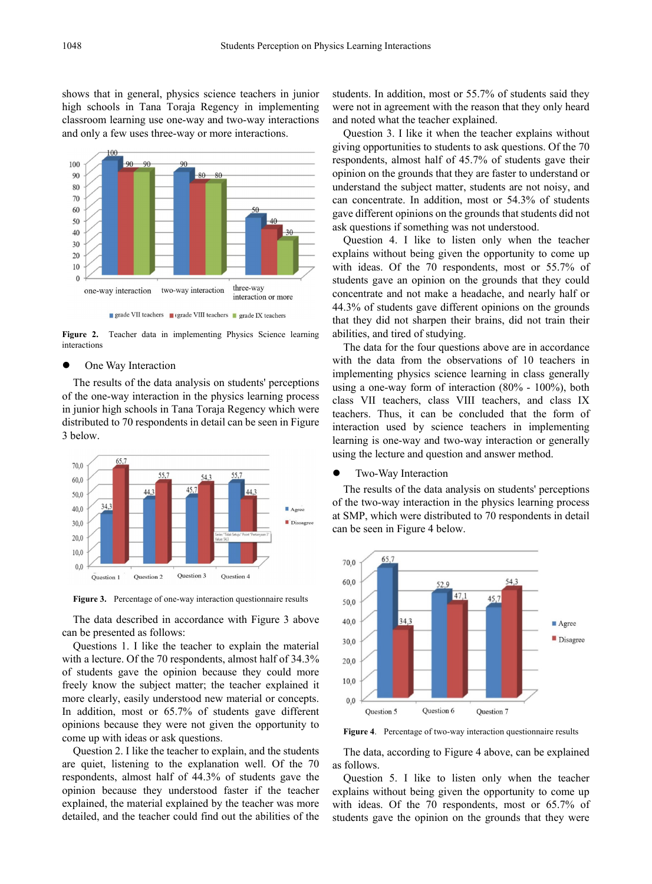shows that in general, physics science teachers in junior high schools in Tana Toraja Regency in implementing classroom learning use one-way and two-way interactions and only a few uses three-way or more interactions.



**Figure 2.** Teacher data in implementing Physics Science learning interactions

### One Way Interaction

The results of the data analysis on students' perceptions of the one-way interaction in the physics learning process in junior high schools in Tana Toraja Regency which were distributed to 70 respondents in detail can be seen in Figure 3 below.



**Figure 3.** Percentage of one-way interaction questionnaire results

The data described in accordance with Figure 3 above can be presented as follows:

Questions 1. I like the teacher to explain the material with a lecture. Of the 70 respondents, almost half of 34.3% of students gave the opinion because they could more freely know the subject matter; the teacher explained it more clearly, easily understood new material or concepts. In addition, most or 65.7% of students gave different opinions because they were not given the opportunity to come up with ideas or ask questions.

Question 2. I like the teacher to explain, and the students are quiet, listening to the explanation well. Of the 70 respondents, almost half of 44.3% of students gave the opinion because they understood faster if the teacher explained, the material explained by the teacher was more detailed, and the teacher could find out the abilities of the

students. In addition, most or 55.7% of students said they were not in agreement with the reason that they only heard and noted what the teacher explained.

Question 3. I like it when the teacher explains without giving opportunities to students to ask questions. Of the 70 respondents, almost half of 45.7% of students gave their opinion on the grounds that they are faster to understand or understand the subject matter, students are not noisy, and can concentrate. In addition, most or 54.3% of students gave different opinions on the grounds that students did not ask questions if something was not understood.

Question 4. I like to listen only when the teacher explains without being given the opportunity to come up with ideas. Of the 70 respondents, most or 55.7% of students gave an opinion on the grounds that they could concentrate and not make a headache, and nearly half or 44.3% of students gave different opinions on the grounds that they did not sharpen their brains, did not train their abilities, and tired of studying.

The data for the four questions above are in accordance with the data from the observations of 10 teachers in implementing physics science learning in class generally using a one-way form of interaction (80% - 100%), both class VII teachers, class VIII teachers, and class IX teachers. Thus, it can be concluded that the form of interaction used by science teachers in implementing learning is one-way and two-way interaction or generally using the lecture and question and answer method.

#### Two-Way Interaction

The results of the data analysis on students' perceptions of the two-way interaction in the physics learning process at SMP, which were distributed to 70 respondents in detail can be seen in Figure 4 below.



**Figure 4**. Percentage of two-way interaction questionnaire results

The data, according to Figure 4 above, can be explained as follows.

Question 5. I like to listen only when the teacher explains without being given the opportunity to come up with ideas. Of the 70 respondents, most or 65.7% of students gave the opinion on the grounds that they were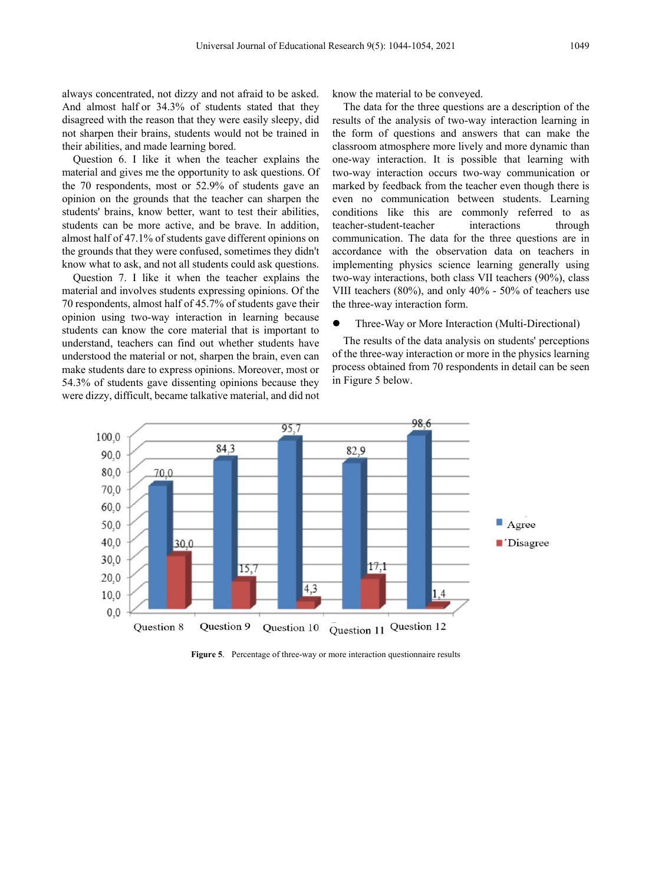always concentrated, not dizzy and not afraid to be asked. And almost half or 34.3% of students stated that they disagreed with the reason that they were easily sleepy, did not sharpen their brains, students would not be trained in their abilities, and made learning bored.

Question 6. I like it when the teacher explains the material and gives me the opportunity to ask questions. Of the 70 respondents, most or 52.9% of students gave an opinion on the grounds that the teacher can sharpen the students' brains, know better, want to test their abilities, students can be more active, and be brave. In addition, almost half of 47.1% of students gave different opinions on the grounds that they were confused, sometimes they didn't know what to ask, and not all students could ask questions.

Question 7. I like it when the teacher explains the material and involves students expressing opinions. Of the 70 respondents, almost half of 45.7% of students gave their opinion using two-way interaction in learning because students can know the core material that is important to understand, teachers can find out whether students have understood the material or not, sharpen the brain, even can make students dare to express opinions. Moreover, most or 54.3% of students gave dissenting opinions because they were dizzy, difficult, became talkative material, and did not

know the material to be conveyed.

The data for the three questions are a description of the results of the analysis of two-way interaction learning in the form of questions and answers that can make the classroom atmosphere more lively and more dynamic than one-way interaction. It is possible that learning with two-way interaction occurs two-way communication or marked by feedback from the teacher even though there is even no communication between students. Learning conditions like this are commonly referred to as teacher-student-teacher interactions through communication. The data for the three questions are in accordance with the observation data on teachers in implementing physics science learning generally using two-way interactions, both class VII teachers (90%), class VIII teachers (80%), and only 40% - 50% of teachers use the three-way interaction form.

#### Three-Way or More Interaction (Multi-Directional)

The results of the data analysis on students' perceptions of the three-way interaction or more in the physics learning process obtained from 70 respondents in detail can be seen in Figure 5 below.



**Figure 5**. Percentage of three-way or more interaction questionnaire results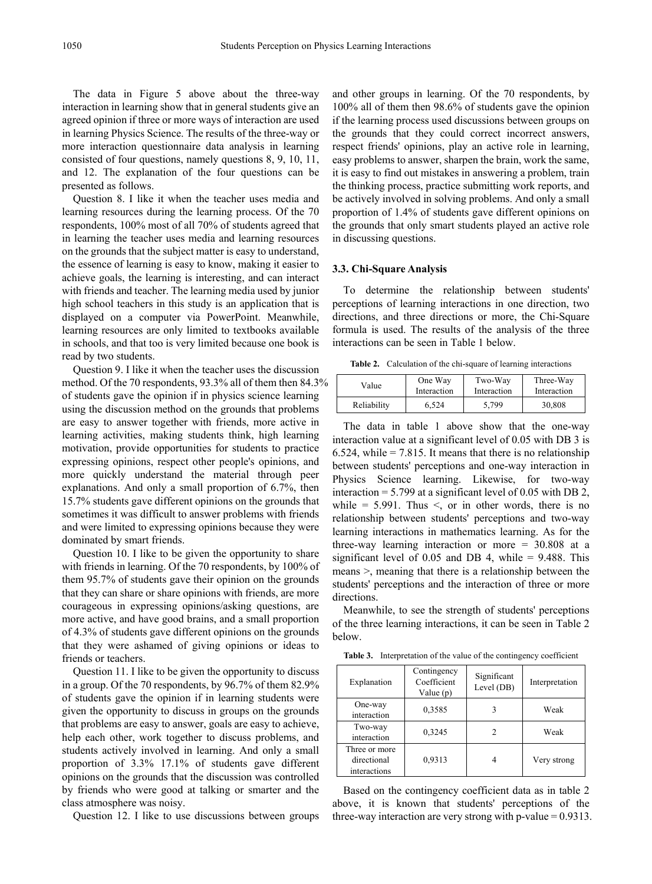The data in Figure 5 above about the three-way interaction in learning show that in general students give an agreed opinion if three or more ways of interaction are used in learning Physics Science. The results of the three-way or more interaction questionnaire data analysis in learning consisted of four questions, namely questions 8, 9, 10, 11, and 12. The explanation of the four questions can be presented as follows.

Question 8. I like it when the teacher uses media and learning resources during the learning process. Of the 70 respondents, 100% most of all 70% of students agreed that in learning the teacher uses media and learning resources on the grounds that the subject matter is easy to understand, the essence of learning is easy to know, making it easier to achieve goals, the learning is interesting, and can interact with friends and teacher. The learning media used by junior high school teachers in this study is an application that is displayed on a computer via PowerPoint. Meanwhile, learning resources are only limited to textbooks available in schools, and that too is very limited because one book is read by two students.

Question 9. I like it when the teacher uses the discussion method. Of the 70 respondents, 93.3% all of them then 84.3% of students gave the opinion if in physics science learning using the discussion method on the grounds that problems are easy to answer together with friends, more active in learning activities, making students think, high learning motivation, provide opportunities for students to practice expressing opinions, respect other people's opinions, and more quickly understand the material through peer explanations. And only a small proportion of 6.7%, then 15.7% students gave different opinions on the grounds that sometimes it was difficult to answer problems with friends and were limited to expressing opinions because they were dominated by smart friends.

Question 10. I like to be given the opportunity to share with friends in learning. Of the 70 respondents, by 100% of them 95.7% of students gave their opinion on the grounds that they can share or share opinions with friends, are more courageous in expressing opinions/asking questions, are more active, and have good brains, and a small proportion of 4.3% of students gave different opinions on the grounds that they were ashamed of giving opinions or ideas to friends or teachers.

Question 11. I like to be given the opportunity to discuss in a group. Of the 70 respondents, by 96.7% of them 82.9% of students gave the opinion if in learning students were given the opportunity to discuss in groups on the grounds that problems are easy to answer, goals are easy to achieve, help each other, work together to discuss problems, and students actively involved in learning. And only a small proportion of 3.3% 17.1% of students gave different opinions on the grounds that the discussion was controlled by friends who were good at talking or smarter and the class atmosphere was noisy.

Question 12. I like to use discussions between groups

and other groups in learning. Of the 70 respondents, by 100% all of them then 98.6% of students gave the opinion if the learning process used discussions between groups on the grounds that they could correct incorrect answers, respect friends' opinions, play an active role in learning, easy problems to answer, sharpen the brain, work the same, it is easy to find out mistakes in answering a problem, train the thinking process, practice submitting work reports, and be actively involved in solving problems. And only a small proportion of 1.4% of students gave different opinions on the grounds that only smart students played an active role in discussing questions.

### **3.3. Chi-Square Analysis**

To determine the relationship between students' perceptions of learning interactions in one direction, two directions, and three directions or more, the Chi-Square formula is used. The results of the analysis of the three interactions can be seen in Table 1 below.

**Table 2.** Calculation of the chi-square of learning interactions

| Value       | One Way     | Two-Way     | Three-Way   |
|-------------|-------------|-------------|-------------|
|             | Interaction | Interaction | Interaction |
| Reliability | 6.524       | 5.799       | 30,808      |

The data in table 1 above show that the one-way interaction value at a significant level of 0.05 with DB 3 is 6.524, while  $= 7.815$ . It means that there is no relationship between students' perceptions and one-way interaction in Physics Science learning. Likewise, for two-way interaction = 5.799 at a significant level of 0.05 with DB 2, while =  $5.991$ . Thus  $\le$ , or in other words, there is no relationship between students' perceptions and two-way learning interactions in mathematics learning. As for the three-way learning interaction or more = 30.808 at a significant level of  $0.05$  and DB 4, while =  $9.488$ . This means >, meaning that there is a relationship between the students' perceptions and the interaction of three or more directions.

Meanwhile, to see the strength of students' perceptions of the three learning interactions, it can be seen in Table 2 below.

**Table 3.** Interpretation of the value of the contingency coefficient

| Explanation                                  | Contingency<br>Coefficient<br>Value $(p)$ | Significant<br>Level (DB) | Interpretation |
|----------------------------------------------|-------------------------------------------|---------------------------|----------------|
| One-way<br>interaction                       | 0.3585                                    |                           | Weak           |
| Two-way<br>interaction                       | 0,3245                                    |                           | Weak           |
| Three or more<br>directional<br>interactions | 0.9313                                    |                           | Very strong    |

Based on the contingency coefficient data as in table 2 above, it is known that students' perceptions of the three-way interaction are very strong with p-value  $= 0.9313$ .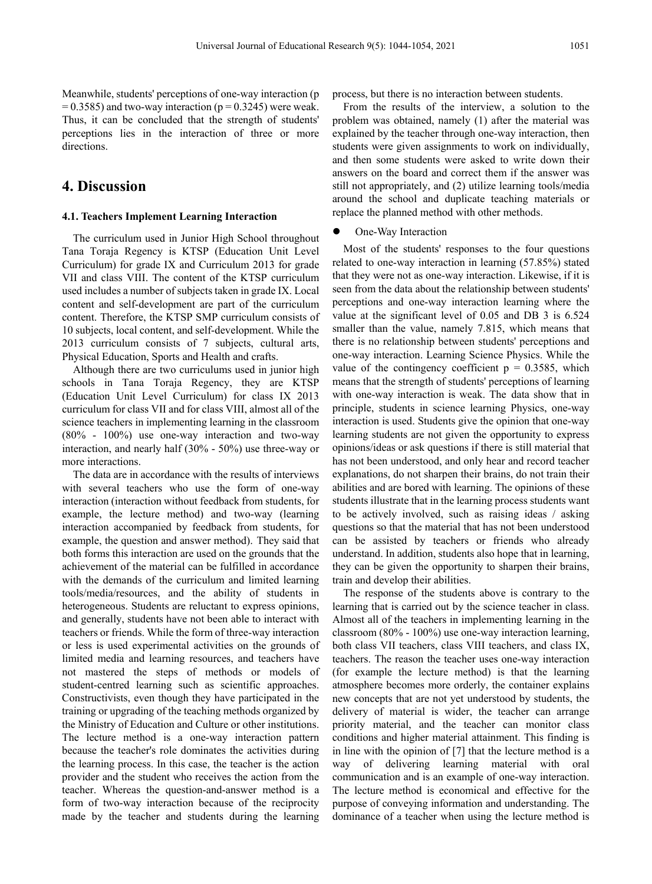Meanwhile, students' perceptions of one-way interaction (p  $= 0.3585$ ) and two-way interaction (p = 0.3245) were weak. Thus, it can be concluded that the strength of students' perceptions lies in the interaction of three or more directions.

# **4. Discussion**

#### **4.1. Teachers Implement Learning Interaction**

The curriculum used in Junior High School throughout Tana Toraja Regency is KTSP (Education Unit Level Curriculum) for grade IX and Curriculum 2013 for grade VII and class VIII. The content of the KTSP curriculum used includes a number of subjects taken in grade IX. Local content and self-development are part of the curriculum content. Therefore, the KTSP SMP curriculum consists of 10 subjects, local content, and self-development. While the 2013 curriculum consists of 7 subjects, cultural arts, Physical Education, Sports and Health and crafts.

Although there are two curriculums used in junior high schools in Tana Toraja Regency, they are KTSP (Education Unit Level Curriculum) for class IX 2013 curriculum for class VII and for class VIII, almost all of the science teachers in implementing learning in the classroom (80% - 100%) use one-way interaction and two-way interaction, and nearly half (30% - 50%) use three-way or more interactions.

The data are in accordance with the results of interviews with several teachers who use the form of one-way interaction (interaction without feedback from students, for example, the lecture method) and two-way (learning interaction accompanied by feedback from students, for example, the question and answer method). They said that both forms this interaction are used on the grounds that the achievement of the material can be fulfilled in accordance with the demands of the curriculum and limited learning tools/media/resources, and the ability of students in heterogeneous. Students are reluctant to express opinions, and generally, students have not been able to interact with teachers or friends. While the form of three-way interaction or less is used experimental activities on the grounds of limited media and learning resources, and teachers have not mastered the steps of methods or models of student-centred learning such as scientific approaches. Constructivists, even though they have participated in the training or upgrading of the teaching methods organized by the Ministry of Education and Culture or other institutions. The lecture method is a one-way interaction pattern because the teacher's role dominates the activities during the learning process. In this case, the teacher is the action provider and the student who receives the action from the teacher. Whereas the question-and-answer method is a form of two-way interaction because of the reciprocity made by the teacher and students during the learning

process, but there is no interaction between students.

From the results of the interview, a solution to the problem was obtained, namely (1) after the material was explained by the teacher through one-way interaction, then students were given assignments to work on individually, and then some students were asked to write down their answers on the board and correct them if the answer was still not appropriately, and (2) utilize learning tools/media around the school and duplicate teaching materials or replace the planned method with other methods.

One-Way Interaction

Most of the students' responses to the four questions related to one-way interaction in learning (57.85%) stated that they were not as one-way interaction. Likewise, if it is seen from the data about the relationship between students' perceptions and one-way interaction learning where the value at the significant level of 0.05 and DB 3 is 6.524 smaller than the value, namely 7.815, which means that there is no relationship between students' perceptions and one-way interaction. Learning Science Physics. While the value of the contingency coefficient  $p = 0.3585$ , which means that the strength of students' perceptions of learning with one-way interaction is weak. The data show that in principle, students in science learning Physics, one-way interaction is used. Students give the opinion that one-way learning students are not given the opportunity to express opinions/ideas or ask questions if there is still material that has not been understood, and only hear and record teacher explanations, do not sharpen their brains, do not train their abilities and are bored with learning. The opinions of these students illustrate that in the learning process students want to be actively involved, such as raising ideas / asking questions so that the material that has not been understood can be assisted by teachers or friends who already understand. In addition, students also hope that in learning, they can be given the opportunity to sharpen their brains, train and develop their abilities.

The response of the students above is contrary to the learning that is carried out by the science teacher in class. Almost all of the teachers in implementing learning in the classroom (80% - 100%) use one-way interaction learning, both class VII teachers, class VIII teachers, and class IX, teachers. The reason the teacher uses one-way interaction (for example the lecture method) is that the learning atmosphere becomes more orderly, the container explains new concepts that are not yet understood by students, the delivery of material is wider, the teacher can arrange priority material, and the teacher can monitor class conditions and higher material attainment. This finding is in line with the opinion of [7] that the lecture method is a way of delivering learning material with oral communication and is an example of one-way interaction. The lecture method is economical and effective for the purpose of conveying information and understanding. The dominance of a teacher when using the lecture method is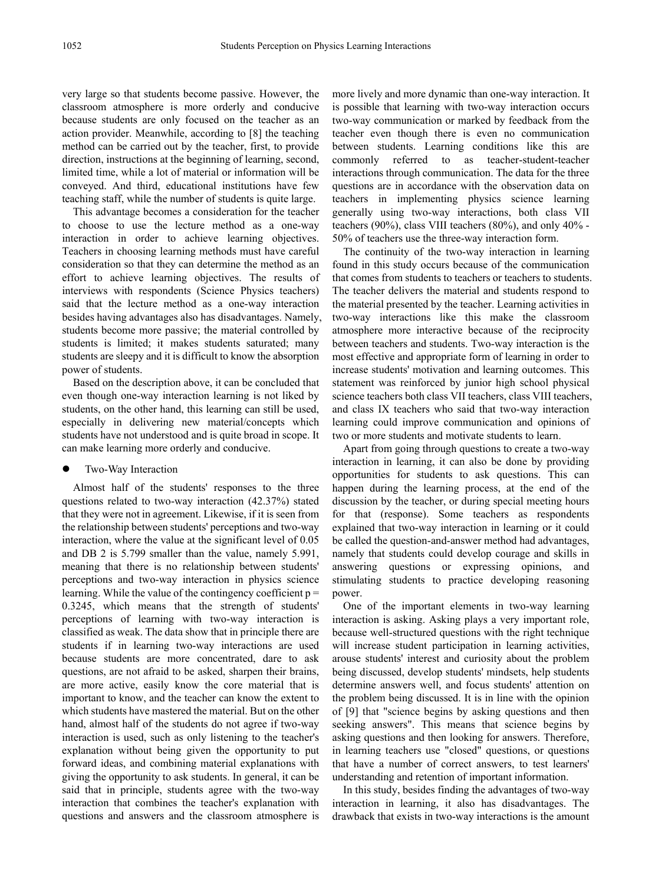very large so that students become passive. However, the classroom atmosphere is more orderly and conducive because students are only focused on the teacher as an action provider. Meanwhile, according to [8] the teaching method can be carried out by the teacher, first, to provide direction, instructions at the beginning of learning, second, limited time, while a lot of material or information will be conveyed. And third, educational institutions have few teaching staff, while the number of students is quite large.

This advantage becomes a consideration for the teacher to choose to use the lecture method as a one-way interaction in order to achieve learning objectives. Teachers in choosing learning methods must have careful consideration so that they can determine the method as an effort to achieve learning objectives. The results of interviews with respondents (Science Physics teachers) said that the lecture method as a one-way interaction besides having advantages also has disadvantages. Namely, students become more passive; the material controlled by students is limited; it makes students saturated; many students are sleepy and it is difficult to know the absorption power of students.

Based on the description above, it can be concluded that even though one-way interaction learning is not liked by students, on the other hand, this learning can still be used, especially in delivering new material/concepts which students have not understood and is quite broad in scope. It can make learning more orderly and conducive.

### Two-Way Interaction

Almost half of the students' responses to the three questions related to two-way interaction (42.37%) stated that they were not in agreement. Likewise, if it is seen from the relationship between students' perceptions and two-way interaction, where the value at the significant level of 0.05 and DB 2 is 5.799 smaller than the value, namely 5.991, meaning that there is no relationship between students' perceptions and two-way interaction in physics science learning. While the value of the contingency coefficient  $p =$ 0.3245, which means that the strength of students' perceptions of learning with two-way interaction is classified as weak. The data show that in principle there are students if in learning two-way interactions are used because students are more concentrated, dare to ask questions, are not afraid to be asked, sharpen their brains, are more active, easily know the core material that is important to know, and the teacher can know the extent to which students have mastered the material. But on the other hand, almost half of the students do not agree if two-way interaction is used, such as only listening to the teacher's explanation without being given the opportunity to put forward ideas, and combining material explanations with giving the opportunity to ask students. In general, it can be said that in principle, students agree with the two-way interaction that combines the teacher's explanation with questions and answers and the classroom atmosphere is

more lively and more dynamic than one-way interaction. It is possible that learning with two-way interaction occurs two-way communication or marked by feedback from the teacher even though there is even no communication between students. Learning conditions like this are commonly referred to as teacher-student-teacher interactions through communication. The data for the three questions are in accordance with the observation data on teachers in implementing physics science learning generally using two-way interactions, both class VII teachers (90%), class VIII teachers (80%), and only 40% - 50% of teachers use the three-way interaction form.

The continuity of the two-way interaction in learning found in this study occurs because of the communication that comes from students to teachers or teachers to students. The teacher delivers the material and students respond to the material presented by the teacher. Learning activities in two-way interactions like this make the classroom atmosphere more interactive because of the reciprocity between teachers and students. Two-way interaction is the most effective and appropriate form of learning in order to increase students' motivation and learning outcomes. This statement was reinforced by junior high school physical science teachers both class VII teachers, class VIII teachers, and class IX teachers who said that two-way interaction learning could improve communication and opinions of two or more students and motivate students to learn.

Apart from going through questions to create a two-way interaction in learning, it can also be done by providing opportunities for students to ask questions. This can happen during the learning process, at the end of the discussion by the teacher, or during special meeting hours for that (response). Some teachers as respondents explained that two-way interaction in learning or it could be called the question-and-answer method had advantages, namely that students could develop courage and skills in answering questions or expressing opinions, and stimulating students to practice developing reasoning power.

One of the important elements in two-way learning interaction is asking. Asking plays a very important role, because well-structured questions with the right technique will increase student participation in learning activities, arouse students' interest and curiosity about the problem being discussed, develop students' mindsets, help students determine answers well, and focus students' attention on the problem being discussed. It is in line with the opinion of [9] that "science begins by asking questions and then seeking answers". This means that science begins by asking questions and then looking for answers. Therefore, in learning teachers use "closed" questions, or questions that have a number of correct answers, to test learners' understanding and retention of important information.

In this study, besides finding the advantages of two-way interaction in learning, it also has disadvantages. The drawback that exists in two-way interactions is the amount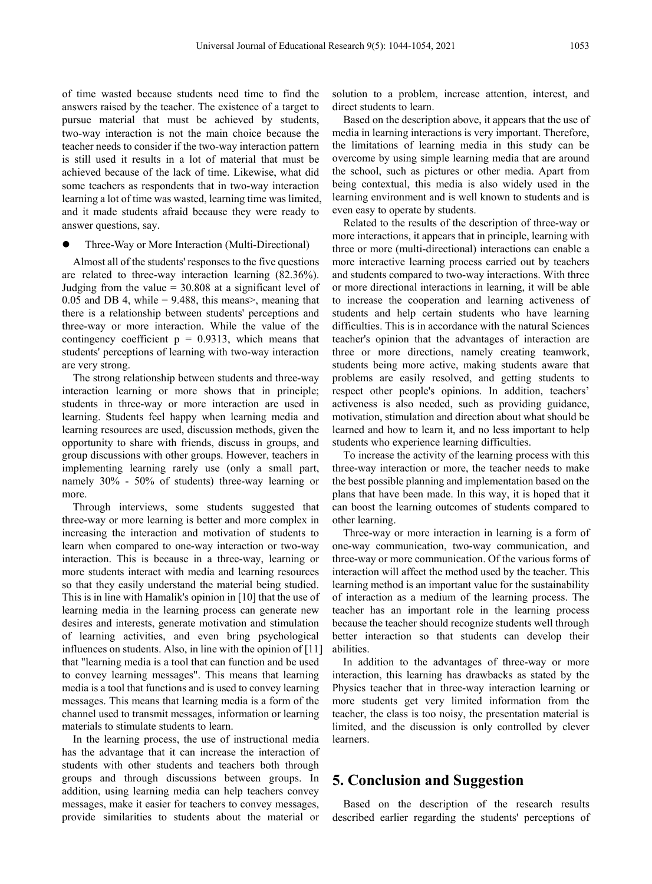of time wasted because students need time to find the answers raised by the teacher. The existence of a target to pursue material that must be achieved by students, two-way interaction is not the main choice because the teacher needs to consider if the two-way interaction pattern is still used it results in a lot of material that must be achieved because of the lack of time. Likewise, what did some teachers as respondents that in two-way interaction learning a lot of time was wasted, learning time was limited, and it made students afraid because they were ready to answer questions, say.

Three-Way or More Interaction (Multi-Directional)

Almost all of the students' responses to the five questions are related to three-way interaction learning (82.36%). Judging from the value  $= 30.808$  at a significant level of 0.05 and DB 4, while  $= 9.488$ , this means>, meaning that there is a relationship between students' perceptions and three-way or more interaction. While the value of the contingency coefficient  $p = 0.9313$ , which means that students' perceptions of learning with two-way interaction are very strong.

The strong relationship between students and three-way interaction learning or more shows that in principle; students in three-way or more interaction are used in learning. Students feel happy when learning media and learning resources are used, discussion methods, given the opportunity to share with friends, discuss in groups, and group discussions with other groups. However, teachers in implementing learning rarely use (only a small part, namely 30% - 50% of students) three-way learning or more.

Through interviews, some students suggested that three-way or more learning is better and more complex in increasing the interaction and motivation of students to learn when compared to one-way interaction or two-way interaction. This is because in a three-way, learning or more students interact with media and learning resources so that they easily understand the material being studied. This is in line with Hamalik's opinion in [10] that the use of learning media in the learning process can generate new desires and interests, generate motivation and stimulation of learning activities, and even bring psychological influences on students. Also, in line with the opinion of [11] that "learning media is a tool that can function and be used to convey learning messages". This means that learning media is a tool that functions and is used to convey learning messages. This means that learning media is a form of the channel used to transmit messages, information or learning materials to stimulate students to learn.

In the learning process, the use of instructional media has the advantage that it can increase the interaction of students with other students and teachers both through groups and through discussions between groups. In addition, using learning media can help teachers convey messages, make it easier for teachers to convey messages, provide similarities to students about the material or solution to a problem, increase attention, interest, and direct students to learn.

Based on the description above, it appears that the use of media in learning interactions is very important. Therefore, the limitations of learning media in this study can be overcome by using simple learning media that are around the school, such as pictures or other media. Apart from being contextual, this media is also widely used in the learning environment and is well known to students and is even easy to operate by students.

Related to the results of the description of three-way or more interactions, it appears that in principle, learning with three or more (multi-directional) interactions can enable a more interactive learning process carried out by teachers and students compared to two-way interactions. With three or more directional interactions in learning, it will be able to increase the cooperation and learning activeness of students and help certain students who have learning difficulties. This is in accordance with the natural Sciences teacher's opinion that the advantages of interaction are three or more directions, namely creating teamwork, students being more active, making students aware that problems are easily resolved, and getting students to respect other people's opinions. In addition, teachers' activeness is also needed, such as providing guidance, motivation, stimulation and direction about what should be learned and how to learn it, and no less important to help students who experience learning difficulties.

To increase the activity of the learning process with this three-way interaction or more, the teacher needs to make the best possible planning and implementation based on the plans that have been made. In this way, it is hoped that it can boost the learning outcomes of students compared to other learning.

Three-way or more interaction in learning is a form of one-way communication, two-way communication, and three-way or more communication. Of the various forms of interaction will affect the method used by the teacher. This learning method is an important value for the sustainability of interaction as a medium of the learning process. The teacher has an important role in the learning process because the teacher should recognize students well through better interaction so that students can develop their abilities.

In addition to the advantages of three-way or more interaction, this learning has drawbacks as stated by the Physics teacher that in three-way interaction learning or more students get very limited information from the teacher, the class is too noisy, the presentation material is limited, and the discussion is only controlled by clever learners.

# **5. Conclusion and Suggestion**

Based on the description of the research results described earlier regarding the students' perceptions of